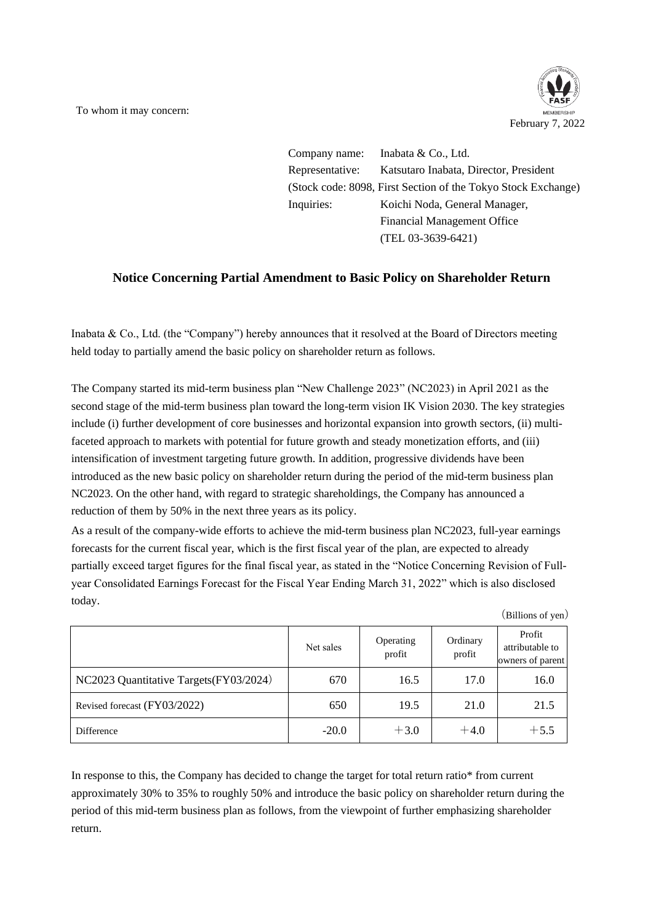To whom it may concern:



Company name: Inabata & Co., Ltd. Representative: Katsutaro Inabata, Director, President (Stock code: 8098, First Section of the Tokyo Stock Exchange) Inquiries: Koichi Noda, General Manager, Financial Management Office (TEL 03-3639-6421)

## **Notice Concerning Partial Amendment to Basic Policy on Shareholder Return**

Inabata & Co., Ltd. (the "Company") hereby announces that it resolved at the Board of Directors meeting held today to partially amend the basic policy on shareholder return as follows.

The Company started its mid-term business plan "New Challenge 2023" (NC2023) in April 2021 as the second stage of the mid-term business plan toward the long-term vision IK Vision 2030. The key strategies include (i) further development of core businesses and horizontal expansion into growth sectors, (ii) multifaceted approach to markets with potential for future growth and steady monetization efforts, and (iii) intensification of investment targeting future growth. In addition, progressive dividends have been introduced as the new basic policy on shareholder return during the period of the mid-term business plan NC2023. On the other hand, with regard to strategic shareholdings, the Company has announced a reduction of them by 50% in the next three years as its policy.

As a result of the company-wide efforts to achieve the mid-term business plan NC2023, full-year earnings forecasts for the current fiscal year, which is the first fiscal year of the plan, are expected to already partially exceed target figures for the final fiscal year, as stated in the "Notice Concerning Revision of Fullyear Consolidated Earnings Forecast for the Fiscal Year Ending March 31, 2022" which is also disclosed today.

|                                        | Net sales | Operating<br>profit | Ordinary<br>profit | Profit<br>attributable to<br>owners of parent |
|----------------------------------------|-----------|---------------------|--------------------|-----------------------------------------------|
| NC2023 Quantitative Targets(FY03/2024) | 670       | 16.5                | 17.0               | 16.0                                          |
| Revised forecast (FY03/2022)           | 650       | 19.5                | 21.0               | 21.5                                          |
| Difference                             | $-20.0$   | $+3.0$              | $+4.0$             | $+5.5$                                        |

In response to this, the Company has decided to change the target for total return ratio\* from current approximately 30% to 35% to roughly 50% and introduce the basic policy on shareholder return during the period of this mid-term business plan as follows, from the viewpoint of further emphasizing shareholder return.

(Billions of yen)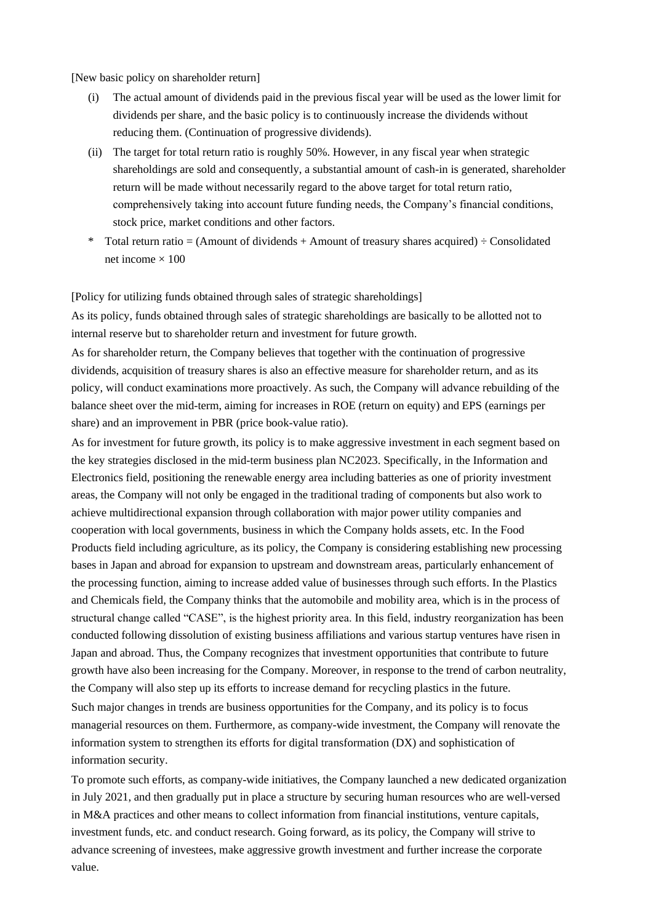[New basic policy on shareholder return]

- (i) The actual amount of dividends paid in the previous fiscal year will be used as the lower limit for dividends per share, and the basic policy is to continuously increase the dividends without reducing them. (Continuation of progressive dividends).
- (ii) The target for total return ratio is roughly 50%. However, in any fiscal year when strategic shareholdings are sold and consequently, a substantial amount of cash-in is generated, shareholder return will be made without necessarily regard to the above target for total return ratio, comprehensively taking into account future funding needs, the Company's financial conditions, stock price, market conditions and other factors.
- \* Total return ratio = (Amount of dividends + Amount of treasury shares acquired)  $\div$  Consolidated net income  $\times 100$

[Policy for utilizing funds obtained through sales of strategic shareholdings]

As its policy, funds obtained through sales of strategic shareholdings are basically to be allotted not to internal reserve but to shareholder return and investment for future growth.

As for shareholder return, the Company believes that together with the continuation of progressive dividends, acquisition of treasury shares is also an effective measure for shareholder return, and as its policy, will conduct examinations more proactively. As such, the Company will advance rebuilding of the balance sheet over the mid-term, aiming for increases in ROE (return on equity) and EPS (earnings per share) and an improvement in PBR (price book-value ratio).

As for investment for future growth, its policy is to make aggressive investment in each segment based on the key strategies disclosed in the mid-term business plan NC2023. Specifically, in the Information and Electronics field, positioning the renewable energy area including batteries as one of priority investment areas, the Company will not only be engaged in the traditional trading of components but also work to achieve multidirectional expansion through collaboration with major power utility companies and cooperation with local governments, business in which the Company holds assets, etc. In the Food Products field including agriculture, as its policy, the Company is considering establishing new processing bases in Japan and abroad for expansion to upstream and downstream areas, particularly enhancement of the processing function, aiming to increase added value of businesses through such efforts. In the Plastics and Chemicals field, the Company thinks that the automobile and mobility area, which is in the process of structural change called "CASE", is the highest priority area. In this field, industry reorganization has been conducted following dissolution of existing business affiliations and various startup ventures have risen in Japan and abroad. Thus, the Company recognizes that investment opportunities that contribute to future growth have also been increasing for the Company. Moreover, in response to the trend of carbon neutrality, the Company will also step up its efforts to increase demand for recycling plastics in the future. Such major changes in trends are business opportunities for the Company, and its policy is to focus managerial resources on them. Furthermore, as company-wide investment, the Company will renovate the information system to strengthen its efforts for digital transformation (DX) and sophistication of information security.

To promote such efforts, as company-wide initiatives, the Company launched a new dedicated organization in July 2021, and then gradually put in place a structure by securing human resources who are well-versed in M&A practices and other means to collect information from financial institutions, venture capitals, investment funds, etc. and conduct research. Going forward, as its policy, the Company will strive to advance screening of investees, make aggressive growth investment and further increase the corporate value.